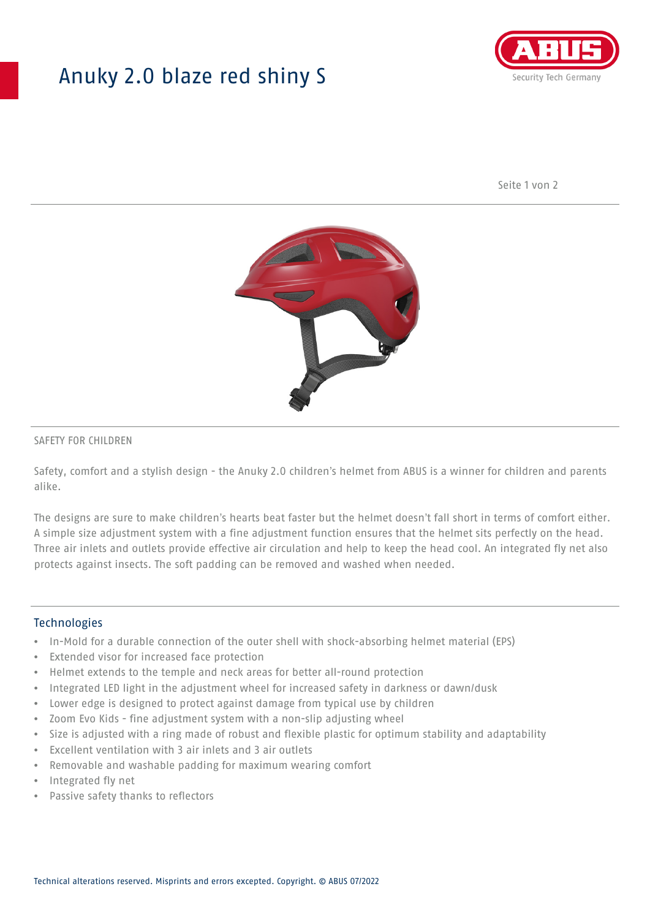# Anuky 2.0 blaze red shiny S



Seite 1 von 2



### SAFETY FOR CHILDREN

Safety, comfort and a stylish design - the Anuky 2.0 children's helmet from ABUS is a winner for children and parents alike.

The designs are sure to make children's hearts beat faster but the helmet doesn't fall short in terms of comfort either. A simple size adjustment system with a fine adjustment function ensures that the helmet sits perfectly on the head. Three air inlets and outlets provide effective air circulation and help to keep the head cool. An integrated fly net also protects against insects. The soft padding can be removed and washed when needed.

#### **Technologies**

- In-Mold for a durable connection of the outer shell with shock-absorbing helmet material (EPS)
- Extended visor for increased face protection
- Helmet extends to the temple and neck areas for better all-round protection
- Integrated LED light in the adjustment wheel for increased safety in darkness or dawn/dusk
- Lower edge is designed to protect against damage from typical use by children
- Zoom Evo Kids fine adjustment system with a non-slip adjusting wheel
- Size is adjusted with a ring made of robust and flexible plastic for optimum stability and adaptability
- Excellent ventilation with 3 air inlets and 3 air outlets
- Removable and washable padding for maximum wearing comfort
- Integrated fly net
- Passive safety thanks to reflectors